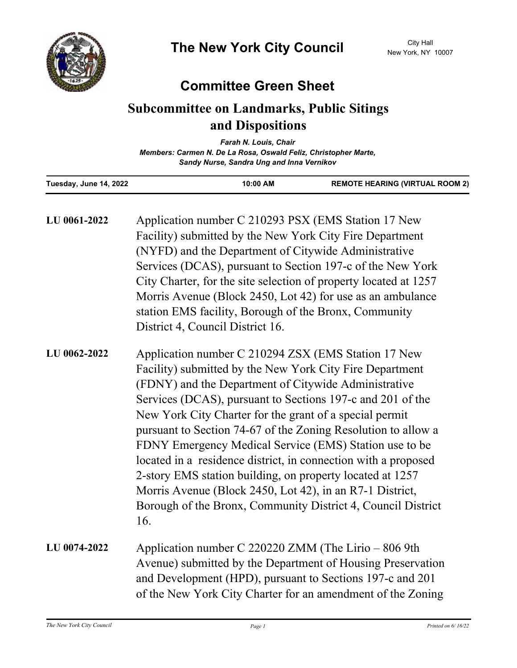

## **Committee Green Sheet**

## **Subcommittee on Landmarks, Public Sitings and Dispositions**

| <b>Farah N. Louis, Chair</b>                                    |  |  |
|-----------------------------------------------------------------|--|--|
| Members: Carmen N. De La Rosa, Oswald Feliz, Christopher Marte, |  |  |
| Sandy Nurse, Sandra Ung and Inna Vernikov                       |  |  |

| Tuesday, June 14, 2022 | 10:00 AM                                                                                                                                                                                                                                                                                                                                                                                                                                                                                                                                                                                                                                                                                      | <b>REMOTE HEARING (VIRTUAL ROOM 2)</b> |
|------------------------|-----------------------------------------------------------------------------------------------------------------------------------------------------------------------------------------------------------------------------------------------------------------------------------------------------------------------------------------------------------------------------------------------------------------------------------------------------------------------------------------------------------------------------------------------------------------------------------------------------------------------------------------------------------------------------------------------|----------------------------------------|
| LU 0061-2022           | Application number C 210293 PSX (EMS Station 17 New<br>Facility) submitted by the New York City Fire Department<br>(NYFD) and the Department of Citywide Administrative<br>Services (DCAS), pursuant to Section 197-c of the New York<br>City Charter, for the site selection of property located at 1257<br>Morris Avenue (Block 2450, Lot 42) for use as an ambulance<br>station EMS facility, Borough of the Bronx, Community<br>District 4, Council District 16.                                                                                                                                                                                                                          |                                        |
| LU 0062-2022           | Application number C 210294 ZSX (EMS Station 17 New<br>Facility) submitted by the New York City Fire Department<br>(FDNY) and the Department of Citywide Administrative<br>Services (DCAS), pursuant to Sections 197-c and 201 of the<br>New York City Charter for the grant of a special permit<br>pursuant to Section 74-67 of the Zoning Resolution to allow a<br>FDNY Emergency Medical Service (EMS) Station use to be<br>located in a residence district, in connection with a proposed<br>2-story EMS station building, on property located at 1257<br>Morris Avenue (Block 2450, Lot 42), in an R7-1 District,<br>Borough of the Bronx, Community District 4, Council District<br>16. |                                        |
| LU 0074-2022           | Application number C 220220 ZMM (The Lirio – 806 9th<br>Avenue) submitted by the Department of Housing Preservation<br>and Development (HPD), pursuant to Sections 197-c and 201<br>of the New York City Charter for an amendment of the Zoning                                                                                                                                                                                                                                                                                                                                                                                                                                               |                                        |